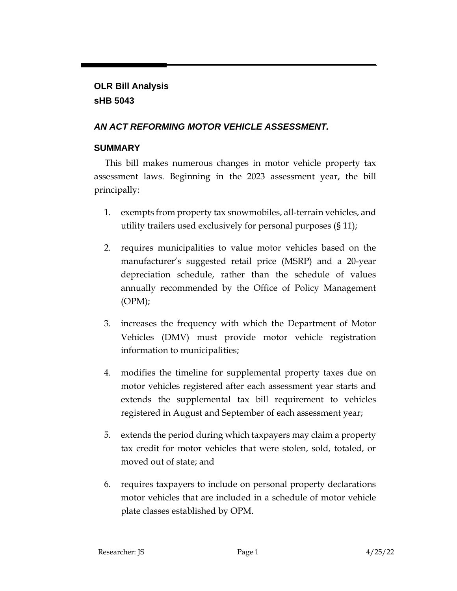# **OLR Bill Analysis sHB 5043**

# *AN ACT REFORMING MOTOR VEHICLE ASSESSMENT.*

# **SUMMARY**

This bill makes numerous changes in motor vehicle property tax assessment laws. Beginning in the 2023 assessment year, the bill principally:

- 1. exempts from property tax snowmobiles, all-terrain vehicles, and utility trailers used exclusively for personal purposes (§ 11);
- 2. requires municipalities to value motor vehicles based on the manufacturer's suggested retail price (MSRP) and a 20-year depreciation schedule, rather than the schedule of values annually recommended by the Office of Policy Management  $(OPM);$
- 3. increases the frequency with which the Department of Motor Vehicles (DMV) must provide motor vehicle registration information to municipalities;
- 4. modifies the timeline for supplemental property taxes due on motor vehicles registered after each assessment year starts and extends the supplemental tax bill requirement to vehicles registered in August and September of each assessment year;
- 5. extends the period during which taxpayers may claim a property tax credit for motor vehicles that were stolen, sold, totaled, or moved out of state; and
- 6. requires taxpayers to include on personal property declarations motor vehicles that are included in a schedule of motor vehicle plate classes established by OPM.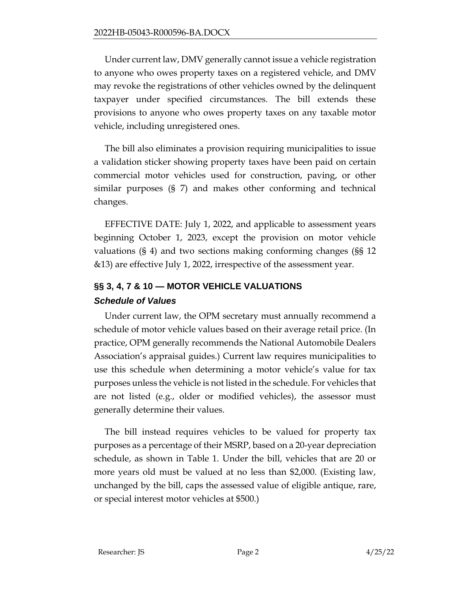Under current law, DMV generally cannot issue a vehicle registration to anyone who owes property taxes on a registered vehicle, and DMV may revoke the registrations of other vehicles owned by the delinquent taxpayer under specified circumstances. The bill extends these provisions to anyone who owes property taxes on any taxable motor vehicle, including unregistered ones.

The bill also eliminates a provision requiring municipalities to issue a validation sticker showing property taxes have been paid on certain commercial motor vehicles used for construction, paving, or other similar purposes (§ 7) and makes other conforming and technical changes.

EFFECTIVE DATE: July 1, 2022, and applicable to assessment years beginning October 1, 2023, except the provision on motor vehicle valuations (§ 4) and two sections making conforming changes (§§ 12 &13) are effective July 1, 2022, irrespective of the assessment year.

# **§§ 3, 4, 7 & 10 — MOTOR VEHICLE VALUATIONS** *Schedule of Values*

Under current law, the OPM secretary must annually recommend a schedule of motor vehicle values based on their average retail price. (In practice, OPM generally recommends the National Automobile Dealers Association's appraisal guides.) Current law requires municipalities to use this schedule when determining a motor vehicle's value for tax purposes unless the vehicle is not listed in the schedule. For vehicles that are not listed (e.g., older or modified vehicles), the assessor must generally determine their values.

The bill instead requires vehicles to be valued for property tax purposes as a percentage of their MSRP, based on a 20-year depreciation schedule, as shown in Table 1. Under the bill, vehicles that are 20 or more years old must be valued at no less than \$2,000. (Existing law, unchanged by the bill, caps the assessed value of eligible antique, rare, or special interest motor vehicles at \$500.)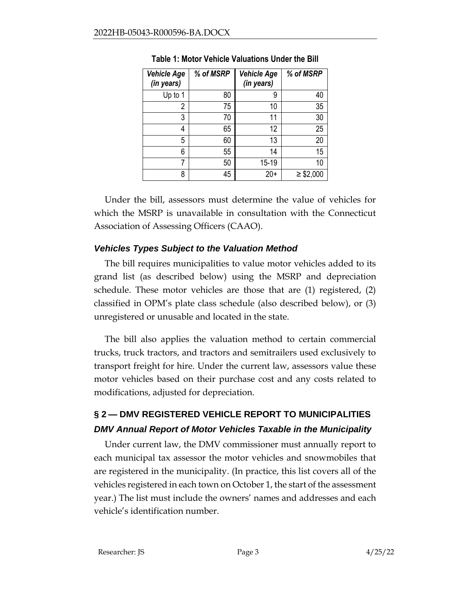| <b>Vehicle Age</b><br>(in years) | % of MSRP | <b>Vehicle Age</b><br>(in years) | % of MSRP      |
|----------------------------------|-----------|----------------------------------|----------------|
| Up to 1                          | 80        | 9                                | 40             |
| 2                                | 75        | 10                               | 35             |
| 3                                | 70        | 11                               | 30             |
| 4                                | 65        | 12                               | 25             |
| 5                                | 60        | 13                               | 20             |
| 6                                | 55        | 14                               | 15             |
| 7                                | 50        | 15-19                            | 10             |
| 8                                | 45        | $20+$                            | $\geq$ \$2,000 |

**Table 1: Motor Vehicle Valuations Under the Bill**

Under the bill, assessors must determine the value of vehicles for which the MSRP is unavailable in consultation with the Connecticut Association of Assessing Officers (CAAO).

### *Vehicles Types Subject to the Valuation Method*

The bill requires municipalities to value motor vehicles added to its grand list (as described below) using the MSRP and depreciation schedule. These motor vehicles are those that are (1) registered, (2) classified in OPM's plate class schedule (also described below), or (3) unregistered or unusable and located in the state.

The bill also applies the valuation method to certain commercial trucks, truck tractors, and tractors and semitrailers used exclusively to transport freight for hire. Under the current law, assessors value these motor vehicles based on their purchase cost and any costs related to modifications, adjusted for depreciation.

# **§ 2 — DMV REGISTERED VEHICLE REPORT TO MUNICIPALITIES** *DMV Annual Report of Motor Vehicles Taxable in the Municipality*

Under current law, the DMV commissioner must annually report to each municipal tax assessor the motor vehicles and snowmobiles that are registered in the municipality. (In practice, this list covers all of the vehicles registered in each town on October 1, the start of the assessment year.) The list must include the owners' names and addresses and each vehicle's identification number.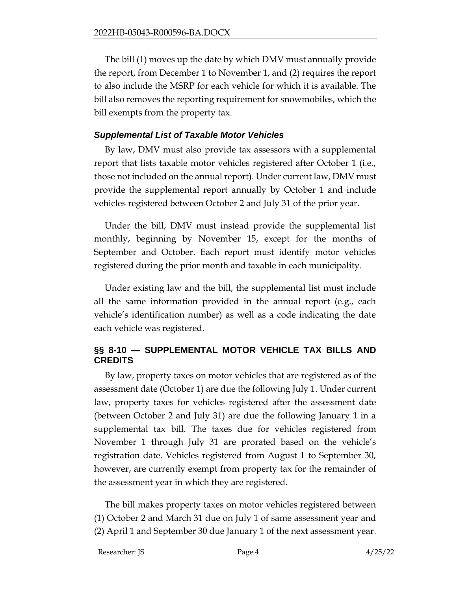The bill (1) moves up the date by which DMV must annually provide the report, from December 1 to November 1, and (2) requires the report to also include the MSRP for each vehicle for which it is available. The bill also removes the reporting requirement for snowmobiles, which the bill exempts from the property tax.

#### *Supplemental List of Taxable Motor Vehicles*

By law, DMV must also provide tax assessors with a supplemental report that lists taxable motor vehicles registered after October 1 (i.e., those not included on the annual report). Under current law, DMV must provide the supplemental report annually by October 1 and include vehicles registered between October 2 and July 31 of the prior year.

Under the bill, DMV must instead provide the supplemental list monthly, beginning by November 15, except for the months of September and October. Each report must identify motor vehicles registered during the prior month and taxable in each municipality.

Under existing law and the bill, the supplemental list must include all the same information provided in the annual report (e.g., each vehicle's identification number) as well as a code indicating the date each vehicle was registered.

### **§§ 8-10 — SUPPLEMENTAL MOTOR VEHICLE TAX BILLS AND CREDITS**

By law, property taxes on motor vehicles that are registered as of the assessment date (October 1) are due the following July 1. Under current law, property taxes for vehicles registered after the assessment date (between October 2 and July 31) are due the following January 1 in a supplemental tax bill. The taxes due for vehicles registered from November 1 through July 31 are prorated based on the vehicle's registration date. Vehicles registered from August 1 to September 30, however, are currently exempt from property tax for the remainder of the assessment year in which they are registered.

The bill makes property taxes on motor vehicles registered between (1) October 2 and March 31 due on July 1 of same assessment year and (2) April 1 and September 30 due January 1 of the next assessment year.

Researcher: JS Page 4 4/25/22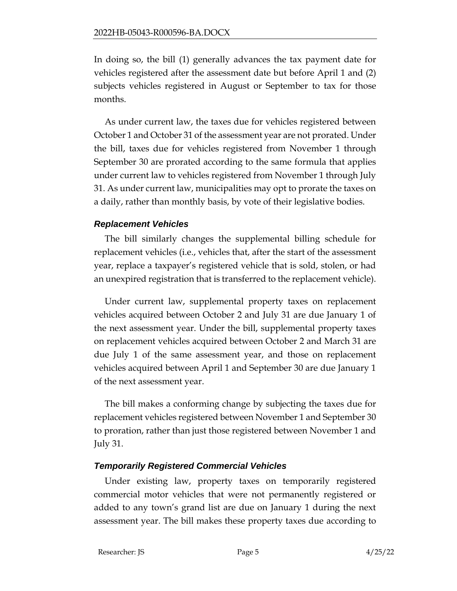In doing so, the bill (1) generally advances the tax payment date for vehicles registered after the assessment date but before April 1 and (2) subjects vehicles registered in August or September to tax for those months.

As under current law, the taxes due for vehicles registered between October 1 and October 31 of the assessment year are not prorated. Under the bill, taxes due for vehicles registered from November 1 through September 30 are prorated according to the same formula that applies under current law to vehicles registered from November 1 through July 31. As under current law, municipalities may opt to prorate the taxes on a daily, rather than monthly basis, by vote of their legislative bodies.

#### *Replacement Vehicles*

The bill similarly changes the supplemental billing schedule for replacement vehicles (i.e., vehicles that, after the start of the assessment year, replace a taxpayer's registered vehicle that is sold, stolen, or had an unexpired registration that is transferred to the replacement vehicle).

Under current law, supplemental property taxes on replacement vehicles acquired between October 2 and July 31 are due January 1 of the next assessment year. Under the bill, supplemental property taxes on replacement vehicles acquired between October 2 and March 31 are due July 1 of the same assessment year, and those on replacement vehicles acquired between April 1 and September 30 are due January 1 of the next assessment year.

The bill makes a conforming change by subjecting the taxes due for replacement vehicles registered between November 1 and September 30 to proration, rather than just those registered between November 1 and July 31.

# *Temporarily Registered Commercial Vehicles*

Under existing law, property taxes on temporarily registered commercial motor vehicles that were not permanently registered or added to any town's grand list are due on January 1 during the next assessment year. The bill makes these property taxes due according to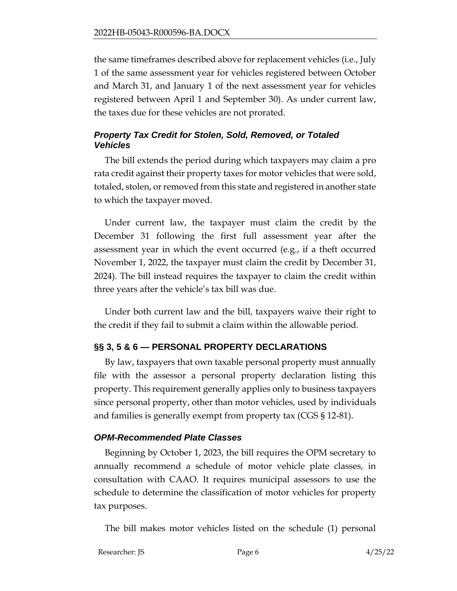the same timeframes described above for replacement vehicles (i.e., July 1 of the same assessment year for vehicles registered between October and March 31, and January 1 of the next assessment year for vehicles registered between April 1 and September 30). As under current law, the taxes due for these vehicles are not prorated.

### *Property Tax Credit for Stolen, Sold, Removed, or Totaled Vehicles*

The bill extends the period during which taxpayers may claim a pro rata credit against their property taxes for motor vehicles that were sold, totaled, stolen, or removed from this state and registered in another state to which the taxpayer moved.

Under current law, the taxpayer must claim the credit by the December 31 following the first full assessment year after the assessment year in which the event occurred (e.g., if a theft occurred November 1, 2022, the taxpayer must claim the credit by December 31, 2024). The bill instead requires the taxpayer to claim the credit within three years after the vehicle's tax bill was due.

Under both current law and the bill, taxpayers waive their right to the credit if they fail to submit a claim within the allowable period.

# **§§ 3, 5 & 6 — PERSONAL PROPERTY DECLARATIONS**

By law, taxpayers that own taxable personal property must annually file with the assessor a personal property declaration listing this property. This requirement generally applies only to business taxpayers since personal property, other than motor vehicles, used by individuals and families is generally exempt from property tax (CGS § 12-81).

#### *OPM-Recommended Plate Classes*

Beginning by October 1, 2023, the bill requires the OPM secretary to annually recommend a schedule of motor vehicle plate classes, in consultation with CAAO. It requires municipal assessors to use the schedule to determine the classification of motor vehicles for property tax purposes.

The bill makes motor vehicles listed on the schedule (1) personal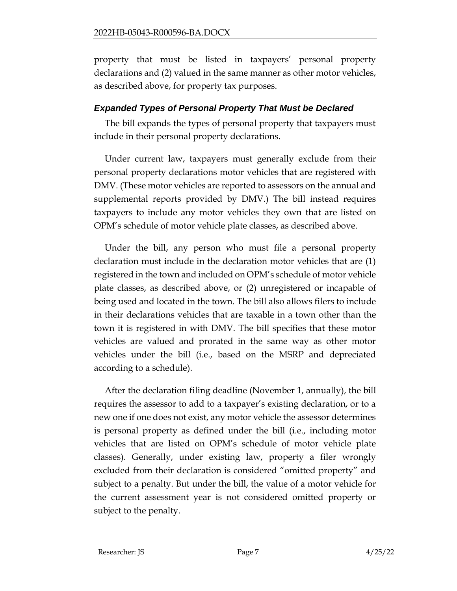property that must be listed in taxpayers' personal property declarations and (2) valued in the same manner as other motor vehicles, as described above, for property tax purposes.

#### *Expanded Types of Personal Property That Must be Declared*

The bill expands the types of personal property that taxpayers must include in their personal property declarations.

Under current law, taxpayers must generally exclude from their personal property declarations motor vehicles that are registered with DMV. (These motor vehicles are reported to assessors on the annual and supplemental reports provided by DMV.) The bill instead requires taxpayers to include any motor vehicles they own that are listed on OPM's schedule of motor vehicle plate classes, as described above.

Under the bill, any person who must file a personal property declaration must include in the declaration motor vehicles that are (1) registered in the town and included on OPM's schedule of motor vehicle plate classes, as described above, or (2) unregistered or incapable of being used and located in the town. The bill also allows filers to include in their declarations vehicles that are taxable in a town other than the town it is registered in with DMV. The bill specifies that these motor vehicles are valued and prorated in the same way as other motor vehicles under the bill (i.e., based on the MSRP and depreciated according to a schedule).

After the declaration filing deadline (November 1, annually), the bill requires the assessor to add to a taxpayer's existing declaration, or to a new one if one does not exist, any motor vehicle the assessor determines is personal property as defined under the bill (i.e., including motor vehicles that are listed on OPM's schedule of motor vehicle plate classes). Generally, under existing law, property a filer wrongly excluded from their declaration is considered "omitted property" and subject to a penalty. But under the bill, the value of a motor vehicle for the current assessment year is not considered omitted property or subject to the penalty.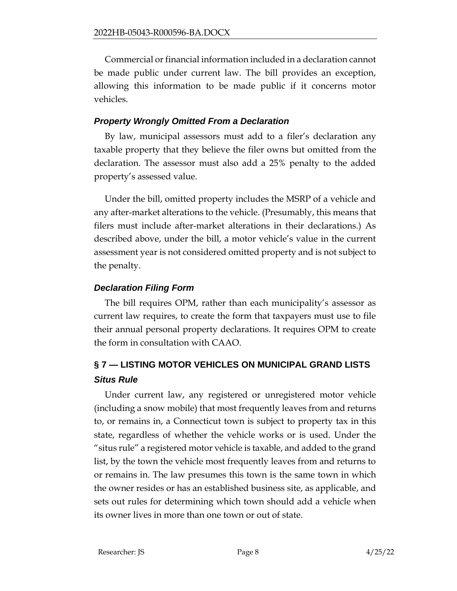Commercial or financial information included in a declaration cannot be made public under current law. The bill provides an exception, allowing this information to be made public if it concerns motor vehicles.

### *Property Wrongly Omitted From a Declaration*

By law, municipal assessors must add to a filer's declaration any taxable property that they believe the filer owns but omitted from the declaration. The assessor must also add a 25% penalty to the added property's assessed value.

Under the bill, omitted property includes the MSRP of a vehicle and any after-market alterations to the vehicle. (Presumably, this means that filers must include after-market alterations in their declarations.) As described above, under the bill, a motor vehicle's value in the current assessment year is not considered omitted property and is not subject to the penalty.

### *Declaration Filing Form*

The bill requires OPM, rather than each municipality's assessor as current law requires, to create the form that taxpayers must use to file their annual personal property declarations. It requires OPM to create the form in consultation with CAAO.

# **§ 7 — LISTING MOTOR VEHICLES ON MUNICIPAL GRAND LISTS** *Situs Rule*

Under current law, any registered or unregistered motor vehicle (including a snow mobile) that most frequently leaves from and returns to, or remains in, a Connecticut town is subject to property tax in this state, regardless of whether the vehicle works or is used. Under the "situs rule" a registered motor vehicle is taxable, and added to the grand list, by the town the vehicle most frequently leaves from and returns to or remains in. The law presumes this town is the same town in which the owner resides or has an established business site, as applicable, and sets out rules for determining which town should add a vehicle when its owner lives in more than one town or out of state.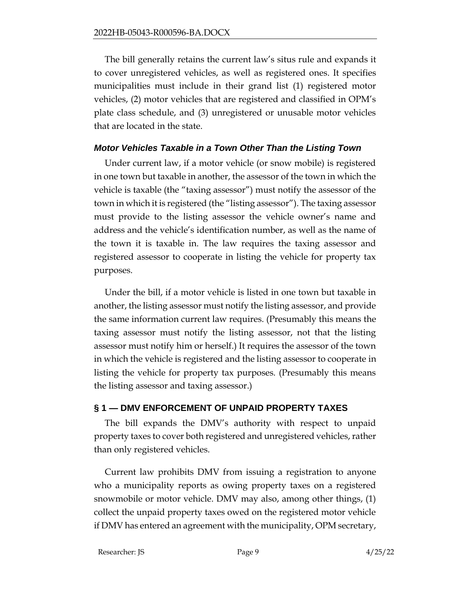The bill generally retains the current law's situs rule and expands it to cover unregistered vehicles, as well as registered ones. It specifies municipalities must include in their grand list (1) registered motor vehicles, (2) motor vehicles that are registered and classified in OPM's plate class schedule, and (3) unregistered or unusable motor vehicles that are located in the state.

#### *Motor Vehicles Taxable in a Town Other Than the Listing Town*

Under current law, if a motor vehicle (or snow mobile) is registered in one town but taxable in another, the assessor of the town in which the vehicle is taxable (the "taxing assessor") must notify the assessor of the town in which it is registered (the "listing assessor"). The taxing assessor must provide to the listing assessor the vehicle owner's name and address and the vehicle's identification number, as well as the name of the town it is taxable in. The law requires the taxing assessor and registered assessor to cooperate in listing the vehicle for property tax purposes.

Under the bill, if a motor vehicle is listed in one town but taxable in another, the listing assessor must notify the listing assessor, and provide the same information current law requires. (Presumably this means the taxing assessor must notify the listing assessor, not that the listing assessor must notify him or herself.) It requires the assessor of the town in which the vehicle is registered and the listing assessor to cooperate in listing the vehicle for property tax purposes. (Presumably this means the listing assessor and taxing assessor.)

# **§ 1 — DMV ENFORCEMENT OF UNPAID PROPERTY TAXES**

The bill expands the DMV's authority with respect to unpaid property taxes to cover both registered and unregistered vehicles, rather than only registered vehicles.

Current law prohibits DMV from issuing a registration to anyone who a municipality reports as owing property taxes on a registered snowmobile or motor vehicle. DMV may also, among other things, (1) collect the unpaid property taxes owed on the registered motor vehicle if DMV has entered an agreement with the municipality, OPM secretary,